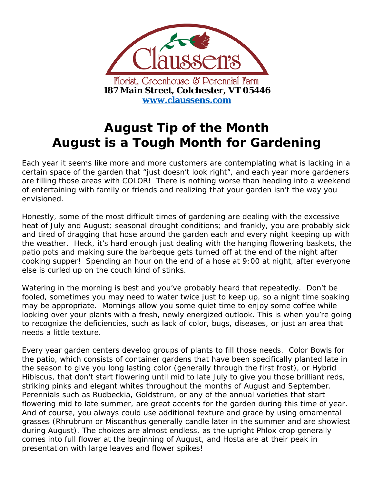

## **August Tip of the Month August is a Tough Month for Gardening**

Each year it seems like more and more customers are contemplating what is lacking in a certain space of the garden that "just doesn't look right", and each year more gardeners are filling those areas with COLOR! There is nothing worse than heading into a weekend of entertaining with family or friends and realizing that your garden isn't the way you envisioned.

Honestly, some of the most difficult times of gardening are dealing with the excessive heat of July and August; seasonal drought conditions; and frankly, you are probably sick and tired of dragging that hose around the garden each and every night keeping up with the weather. Heck, it's hard enough just dealing with the hanging flowering baskets, the patio pots and making sure the barbeque gets turned off at the end of the night after cooking supper! Spending an hour on the end of a hose at 9:00 at night, after everyone else is curled up on the couch kind of stinks.

Watering in the morning is best and you've probably heard that repeatedly. Don't be fooled, sometimes you may need to water twice just to keep up, so a night time soaking may be appropriate. Mornings allow you some quiet time to enjoy some coffee while looking over your plants with a fresh, newly energized outlook. This is when you're going to recognize the deficiencies, such as lack of color, bugs, diseases, or just an area that needs a little texture.

Every year garden centers develop groups of plants to fill those needs. Color Bowls for the patio, which consists of container gardens that have been specifically planted late in the season to give you long lasting color (generally through the first frost), or Hybrid Hibiscus, that don't start flowering until mid to late July to give you those brilliant reds, striking pinks and elegant whites throughout the months of August and September. Perennials such as Rudbeckia, Goldstrum, or any of the annual varieties that start flowering mid to late summer, are great accents for the garden during this time of year. And of course, you always could use additional texture and grace by using ornamental grasses (Rhrubrum or Miscanthus generally candle later in the summer and are showiest during August). The choices are almost endless, as the upright Phlox crop generally comes into full flower at the beginning of August, and Hosta are at their peak in presentation with large leaves and flower spikes!